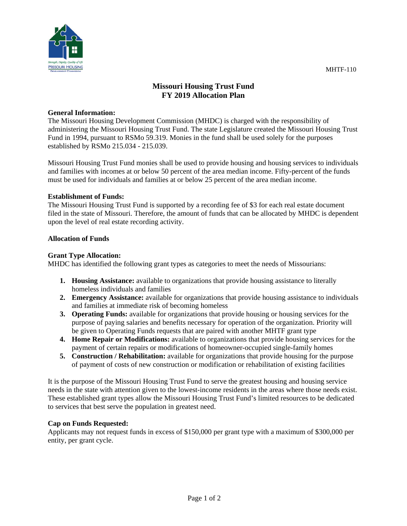

# **Missouri Housing Trust Fund FY 2019 Allocation Plan**

#### **General Information:**

The Missouri Housing Development Commission (MHDC) is charged with the responsibility of administering the Missouri Housing Trust Fund. The state Legislature created the Missouri Housing Trust Fund in 1994, pursuant to RSMo 59.319. Monies in the fund shall be used solely for the purposes established by RSMo 215.034 - 215.039.

Missouri Housing Trust Fund monies shall be used to provide housing and housing services to individuals and families with incomes at or below 50 percent of the area median income. Fifty-percent of the funds must be used for individuals and families at or below 25 percent of the area median income.

## **Establishment of Funds:**

The Missouri Housing Trust Fund is supported by a recording fee of \$3 for each real estate document filed in the state of Missouri. Therefore, the amount of funds that can be allocated by MHDC is dependent upon the level of real estate recording activity.

## **Allocation of Funds**

## **Grant Type Allocation:**

MHDC has identified the following grant types as categories to meet the needs of Missourians:

- **1. Housing Assistance:** available to organizations that provide housing assistance to literally homeless individuals and families
- **2. Emergency Assistance:** available for organizations that provide housing assistance to individuals and families at immediate risk of becoming homeless
- **3. Operating Funds:** available for organizations that provide housing or housing services for the purpose of paying salaries and benefits necessary for operation of the organization. Priority will be given to Operating Funds requests that are paired with another MHTF grant type
- **4. Home Repair or Modifications:** available to organizations that provide housing services for the payment of certain repairs or modifications of homeowner-occupied single-family homes
- **5. Construction / Rehabilitation:** available for organizations that provide housing for the purpose of payment of costs of new construction or modification or rehabilitation of existing facilities

It is the purpose of the Missouri Housing Trust Fund to serve the greatest housing and housing service needs in the state with attention given to the lowest-income residents in the areas where those needs exist. These established grant types allow the Missouri Housing Trust Fund's limited resources to be dedicated to services that best serve the population in greatest need.

# **Cap on Funds Requested:**

Applicants may not request funds in excess of \$150,000 per grant type with a maximum of \$300,000 per entity, per grant cycle.